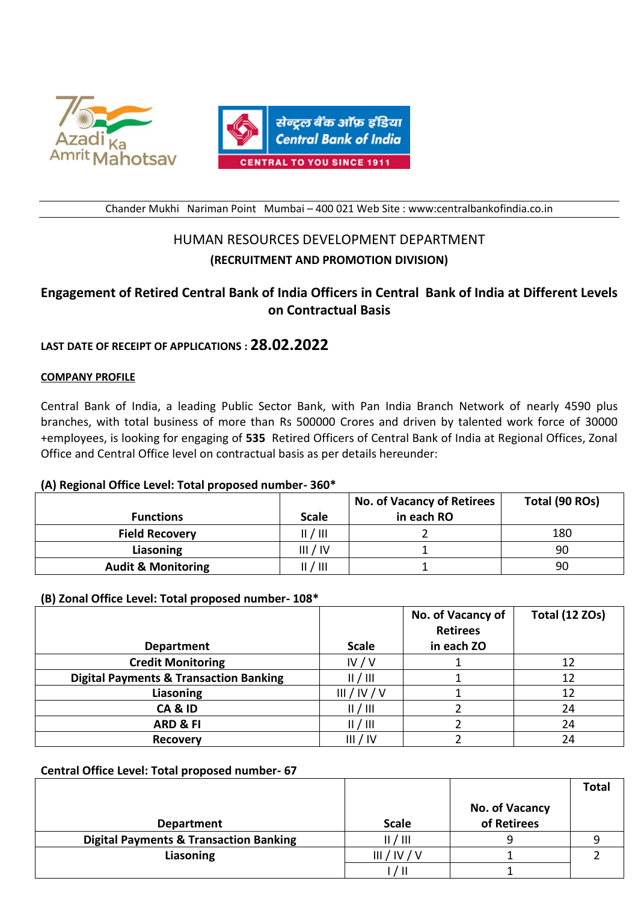



Chander Mukhi Nariman Point Mumbai – 400 021 Web Site : www:centralbankofindia.co.in

# HUMAN RESOURCES DEVELOPMENT DEPARTMENT **(RECRUITMENT AND PROMOTION DIVISION)**

# **Engagement of Retired Central Bank of India Officers in Central Bank of India at Different Levels on Contractual Basis**

# **LAST DATE OF RECEIPT OF APPLICATIONS : 28.02.2022**

## **COMPANY PROFILE**

l

Central Bank of India, a leading Public Sector Bank, with Pan India Branch Network of nearly 4590 plus branches, with total business of more than Rs 500000 Crores and driven by talented work force of 30000 +employees, is looking for engaging of **535** Retired Officers of Central Bank of India at Regional Offices, Zonal Office and Central Office level on contractual basis as per details hereunder:

## **(A) Regional Office Level: Total proposed number- 360\***

|                               |              | <b>No. of Vacancy of Retirees</b> | Total (90 ROs) |
|-------------------------------|--------------|-----------------------------------|----------------|
| <b>Functions</b>              | <b>Scale</b> | in each RO                        |                |
| <b>Field Recovery</b>         | II / III     |                                   | 180            |
| Liasoning                     | III / IV     |                                   | 90             |
| <b>Audit &amp; Monitoring</b> | II / III     |                                   | 90             |

## **(B) Zonal Office Level: Total proposed number- 108\***

|                                                   |              | No. of Vacancy of             | <b>Total (12 ZOs)</b> |
|---------------------------------------------------|--------------|-------------------------------|-----------------------|
| <b>Department</b>                                 | <b>Scale</b> | <b>Retirees</b><br>in each ZO |                       |
| <b>Credit Monitoring</b>                          | IV/V         |                               | 12                    |
| <b>Digital Payments &amp; Transaction Banking</b> | /            |                               | 12                    |
| Liasoning                                         | III/IV/V     |                               | 12                    |
| CA&ID                                             | /            |                               | 24                    |
| <b>ARD &amp; FI</b>                               | /            |                               | 24                    |
| <b>Recovery</b>                                   | III / IV     |                               | 24                    |

## **Central Office Level: Total proposed number- 67**

|                                                   |              |                | Total |
|---------------------------------------------------|--------------|----------------|-------|
|                                                   |              | No. of Vacancy |       |
| <b>Department</b>                                 | <b>Scale</b> | of Retirees    |       |
| <b>Digital Payments &amp; Transaction Banking</b> | 1 / III      |                |       |
| Liasoning                                         | III/IV       |                |       |
|                                                   |              |                |       |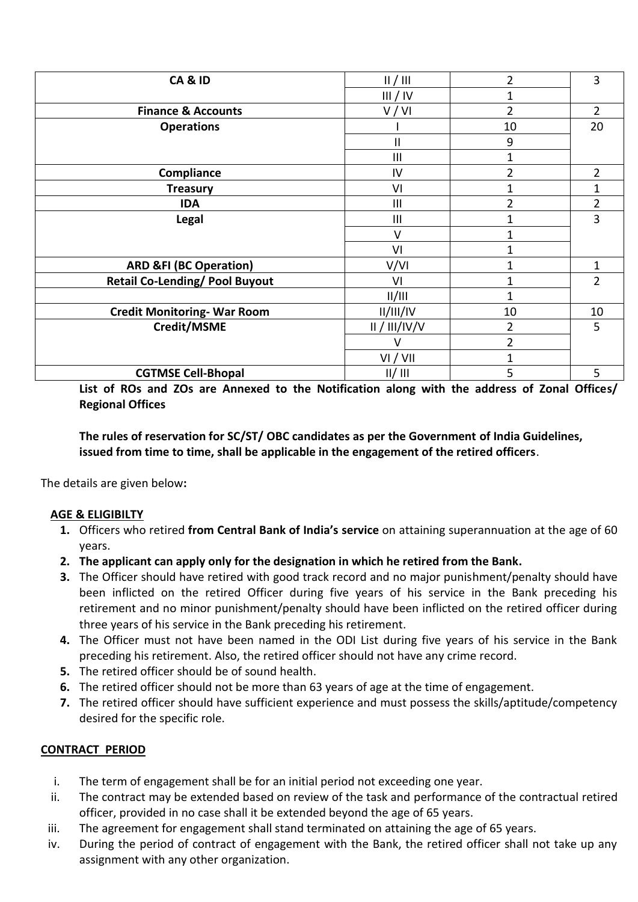| CA&ID                                 | /             | 2              | 3              |
|---------------------------------------|---------------|----------------|----------------|
|                                       | III / IV      | 1              |                |
| <b>Finance &amp; Accounts</b>         | V/VI          | $\overline{2}$ | 2              |
| <b>Operations</b>                     |               | 10             | 20             |
|                                       | Ш             | 9              |                |
|                                       | III           | 1              |                |
| Compliance                            | IV            | 2              | 2              |
| <b>Treasury</b>                       | VI            | 1              |                |
| <b>IDA</b>                            | III           | $\overline{2}$ | 2              |
| <b>Legal</b>                          | III           | $\mathbf 1$    | 3              |
|                                       | V             | 1              |                |
|                                       | VI            | 1              |                |
| <b>ARD &amp;FI (BC Operation)</b>     | V/VI          | 1              | 1              |
| <b>Retail Co-Lending/ Pool Buyout</b> | VI            | 1              | $\overline{2}$ |
|                                       | /             | 1              |                |
| <b>Credit Monitoring-War Room</b>     | II/III/IV     | 10             | 10             |
| Credit/MSME                           | II / III/IV/V | 2              | 5              |
|                                       | $\vee$        | $\overline{2}$ |                |
|                                       | VI / VII      | 1              |                |
| <b>CGTMSE Cell-Bhopal</b>             | II/III        | 5              | 5              |

**List of ROs and ZOs are Annexed to the Notification along with the address of Zonal Offices/ Regional Offices**

**The rules of reservation for SC/ST/ OBC candidates as per the Government of India Guidelines, issued from time to time, shall be applicable in the engagement of the retired officers**.

The details are given below**:** 

# **AGE & ELIGIBILTY**

- **1.** Officers who retired **from Central Bank of India's service** on attaining superannuation at the age of 60 years.
- **2. The applicant can apply only for the designation in which he retired from the Bank.**
- **3.** The Officer should have retired with good track record and no major punishment/penalty should have been inflicted on the retired Officer during five years of his service in the Bank preceding his retirement and no minor punishment/penalty should have been inflicted on the retired officer during three years of his service in the Bank preceding his retirement.
- **4.** The Officer must not have been named in the ODI List during five years of his service in the Bank preceding his retirement. Also, the retired officer should not have any crime record.
- **5.** The retired officer should be of sound health.
- **6.** The retired officer should not be more than 63 years of age at the time of engagement.
- **7.** The retired officer should have sufficient experience and must possess the skills/aptitude/competency desired for the specific role.

# **CONTRACT PERIOD**

- i. The term of engagement shall be for an initial period not exceeding one year.
- ii. The contract may be extended based on review of the task and performance of the contractual retired officer, provided in no case shall it be extended beyond the age of 65 years.
- iii. The agreement for engagement shall stand terminated on attaining the age of 65 years.
- iv. During the period of contract of engagement with the Bank, the retired officer shall not take up any assignment with any other organization.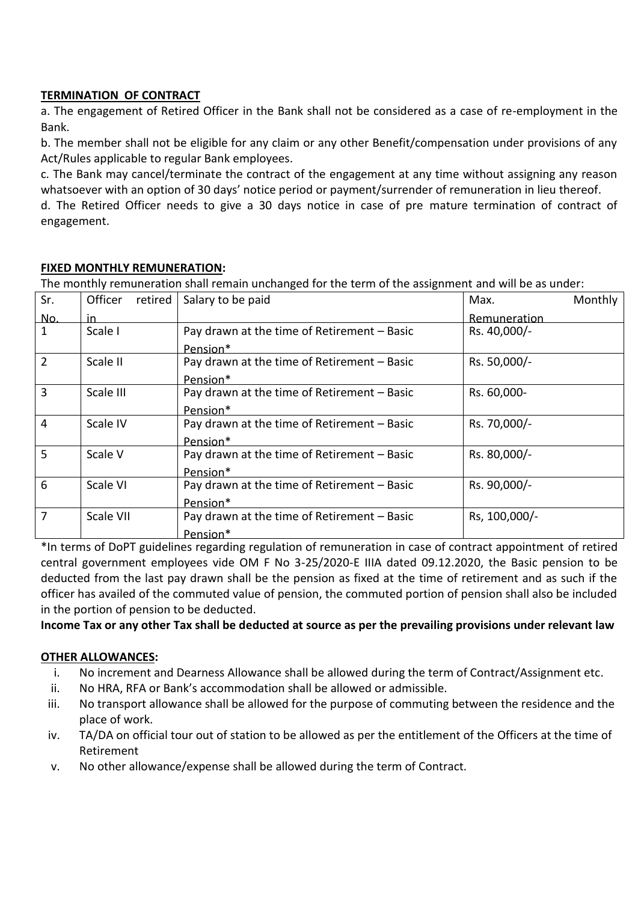# **TERMINATION OF CONTRACT**

a. The engagement of Retired Officer in the Bank shall not be considered as a case of re-employment in the Bank.

b. The member shall not be eligible for any claim or any other Benefit/compensation under provisions of any Act/Rules applicable to regular Bank employees.

c. The Bank may cancel/terminate the contract of the engagement at any time without assigning any reason whatsoever with an option of 30 days' notice period or payment/surrender of remuneration in lieu thereof.

d. The Retired Officer needs to give a 30 days notice in case of pre-mature termination of contract of engagement.

# **FIXED MONTHLY REMUNERATION:**

The monthly remuneration shall remain unchanged for the term of the assignment and will be as under:

| Sr.            | retired<br>Officer | Salary to be paid                           | Max.          | Monthly |
|----------------|--------------------|---------------------------------------------|---------------|---------|
| No.            | in.                |                                             | Remuneration  |         |
| 1              | Scale I            | Pay drawn at the time of Retirement - Basic | Rs. 40,000/-  |         |
|                |                    | Pension*                                    |               |         |
| $\overline{2}$ | Scale II           | Pay drawn at the time of Retirement - Basic | Rs. 50,000/-  |         |
|                |                    | Pension <sup>*</sup>                        |               |         |
| 3              | Scale III          | Pay drawn at the time of Retirement - Basic | Rs. 60,000-   |         |
|                |                    | Pension*                                    |               |         |
| $\overline{4}$ | Scale IV           | Pay drawn at the time of Retirement - Basic | Rs. 70,000/-  |         |
|                |                    | Pension*                                    |               |         |
| 5              | Scale V            | Pay drawn at the time of Retirement - Basic | Rs. 80,000/-  |         |
|                |                    | Pension*                                    |               |         |
| 6              | Scale VI           | Pay drawn at the time of Retirement - Basic | Rs. 90,000/-  |         |
|                |                    | Pension*                                    |               |         |
| 7              | Scale VII          | Pay drawn at the time of Retirement - Basic | Rs, 100,000/- |         |
|                |                    | Pension*                                    |               |         |

\*In terms of DoPT guidelines regarding regulation of remuneration in case of contract appointment of retired central government employees vide OM F No 3-25/2020-E IIIA dated 09.12.2020, the Basic pension to be deducted from the last pay drawn shall be the pension as fixed at the time of retirement and as such if the officer has availed of the commuted value of pension, the commuted portion of pension shall also be included in the portion of pension to be deducted.

**Income Tax or any other Tax shall be deducted at source as per the prevailing provisions under relevant law**

# **OTHER ALLOWANCES:**

- i. No increment and Dearness Allowance shall be allowed during the term of Contract/Assignment etc.
- ii. No HRA, RFA or Bank's accommodation shall be allowed or admissible.
- iii. No transport allowance shall be allowed for the purpose of commuting between the residence and the place of work.
- iv. TA/DA on official tour out of station to be allowed as per the entitlement of the Officers at the time of Retirement
- v. No other allowance/expense shall be allowed during the term of Contract.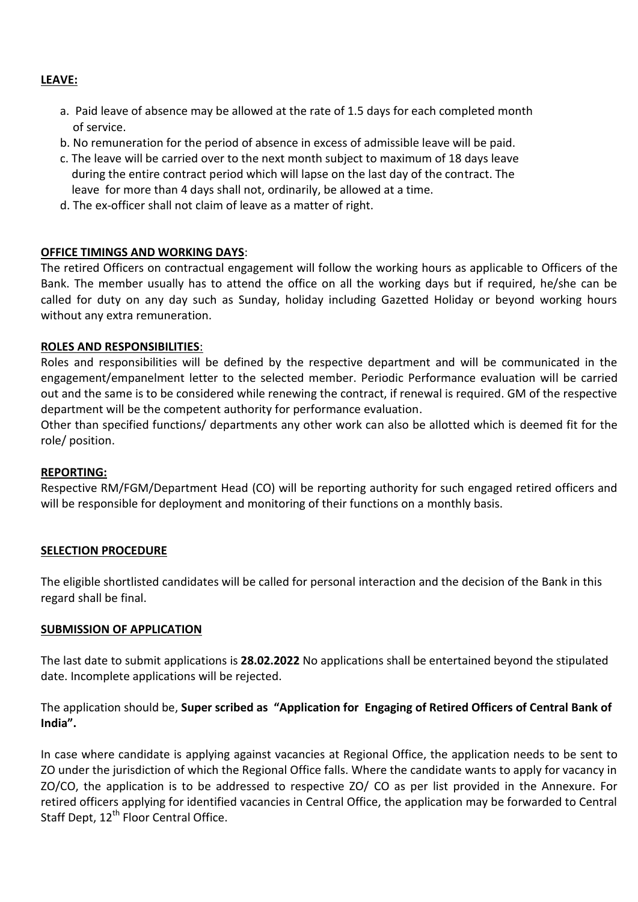## **LEAVE:**

- a. Paid leave of absence may be allowed at the rate of 1.5 days for each completed month of service.
- b. No remuneration for the period of absence in excess of admissible leave will be paid.
- c. The leave will be carried over to the next month subject to maximum of 18 days leave during the entire contract period which will lapse on the last day of the contract. The leave for more than 4 days shall not, ordinarily, be allowed at a time.
- d. The ex-officer shall not claim of leave as a matter of right.

## **OFFICE TIMINGS AND WORKING DAYS**:

The retired Officers on contractual engagement will follow the working hours as applicable to Officers of the Bank. The member usually has to attend the office on all the working days but if required, he/she can be called for duty on any day such as Sunday, holiday including Gazetted Holiday or beyond working hours without any extra remuneration.

## **ROLES AND RESPONSIBILITIES**:

Roles and responsibilities will be defined by the respective department and will be communicated in the engagement/empanelment letter to the selected member. Periodic Performance evaluation will be carried out and the same is to be considered while renewing the contract, if renewal is required. GM of the respective department will be the competent authority for performance evaluation.

Other than specified functions/ departments any other work can also be allotted which is deemed fit for the role/ position.

## **REPORTING:**

Respective RM/FGM/Department Head (CO) will be reporting authority for such engaged retired officers and will be responsible for deployment and monitoring of their functions on a monthly basis.

## **SELECTION PROCEDURE**

The eligible shortlisted candidates will be called for personal interaction and the decision of the Bank in this regard shall be final.

## **SUBMISSION OF APPLICATION**

The last date to submit applications is **28.02.2022** No applications shall be entertained beyond the stipulated date. Incomplete applications will be rejected.

# The application should be, **Super scribed as "Application for Engaging of Retired Officers of Central Bank of India".**

In case where candidate is applying against vacancies at Regional Office, the application needs to be sent to ZO under the jurisdiction of which the Regional Office falls. Where the candidate wants to apply for vacancy in ZO/CO, the application is to be addressed to respective ZO/ CO as per list provided in the Annexure. For retired officers applying for identified vacancies in Central Office, the application may be forwarded to Central Staff Dept, 12<sup>th</sup> Floor Central Office.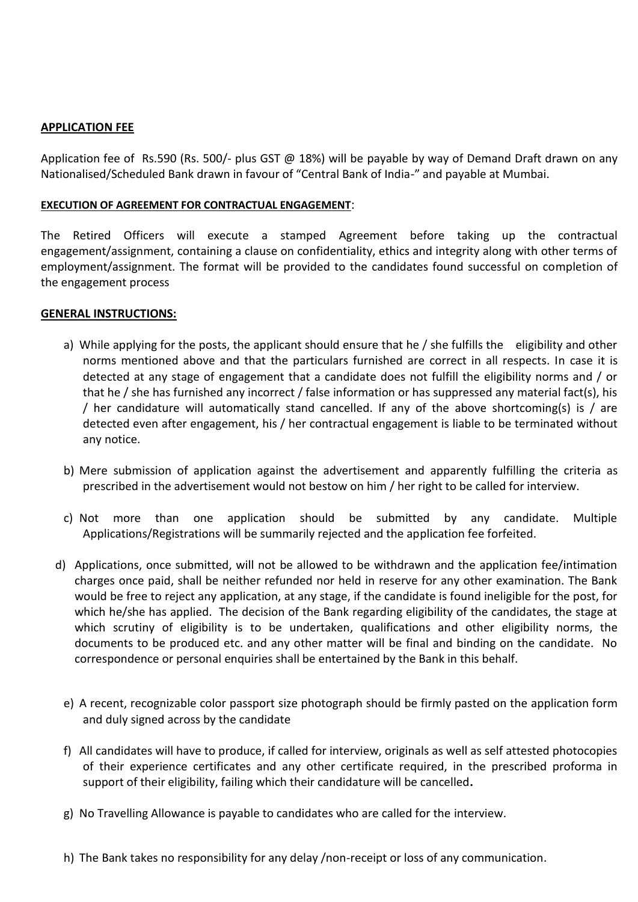## **APPLICATION FEE**

Application fee of Rs.590 (Rs. 500/- plus GST @ 18%) will be payable by way of Demand Draft drawn on any Nationalised/Scheduled Bank drawn in favour of "Central Bank of India-" and payable at Mumbai.

#### **EXECUTION OF AGREEMENT FOR CONTRACTUAL ENGAGEMENT**:

The Retired Officers will execute a stamped Agreement before taking up the contractual engagement/assignment, containing a clause on confidentiality, ethics and integrity along with other terms of employment/assignment. The format will be provided to the candidates found successful on completion of the engagement process

## **GENERAL INSTRUCTIONS:**

- a) While applying for the posts, the applicant should ensure that he / she fulfills the eligibility and other norms mentioned above and that the particulars furnished are correct in all respects. In case it is detected at any stage of engagement that a candidate does not fulfill the eligibility norms and / or that he / she has furnished any incorrect / false information or has suppressed any material fact(s), his / her candidature will automatically stand cancelled. If any of the above shortcoming(s) is / are detected even after engagement, his / her contractual engagement is liable to be terminated without any notice.
- b) Mere submission of application against the advertisement and apparently fulfilling the criteria as prescribed in the advertisement would not bestow on him / her right to be called for interview.
- c) Not more than one application should be submitted by any candidate. Multiple Applications/Registrations will be summarily rejected and the application fee forfeited.
- d) Applications, once submitted, will not be allowed to be withdrawn and the application fee/intimation charges once paid, shall be neither refunded nor held in reserve for any other examination. The Bank would be free to reject any application, at any stage, if the candidate is found ineligible for the post, for which he/she has applied. The decision of the Bank regarding eligibility of the candidates, the stage at which scrutiny of eligibility is to be undertaken, qualifications and other eligibility norms, the documents to be produced etc. and any other matter will be final and binding on the candidate. No correspondence or personal enquiries shall be entertained by the Bank in this behalf.
	- e) A recent, recognizable color passport size photograph should be firmly pasted on the application form and duly signed across by the candidate
	- f) All candidates will have to produce, if called for interview, originals as well as self attested photocopies of their experience certificates and any other certificate required, in the prescribed proforma in support of their eligibility, failing which their candidature will be cancelled**.**
	- g) No Travelling Allowance is payable to candidates who are called for the interview.
	- h) The Bank takes no responsibility for any delay /non-receipt or loss of any communication.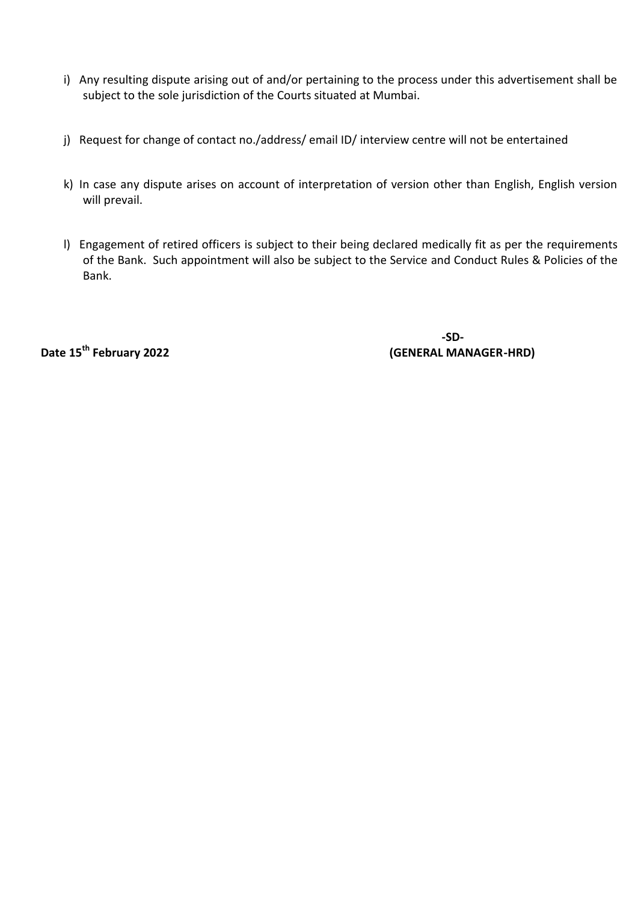- i) Any resulting dispute arising out of and/or pertaining to the process under this advertisement shall be subject to the sole jurisdiction of the Courts situated at Mumbai.
- j) Request for change of contact no./address/ email ID/ interview centre will not be entertained
- k) In case any dispute arises on account of interpretation of version other than English, English version will prevail.
- l) Engagement of retired officers is subject to their being declared medically fit as per the requirements of the Bank. Such appointment will also be subject to the Service and Conduct Rules & Policies of the Bank.

 **-SD-Date 15th February 2022 (GENERAL MANAGER-HRD)**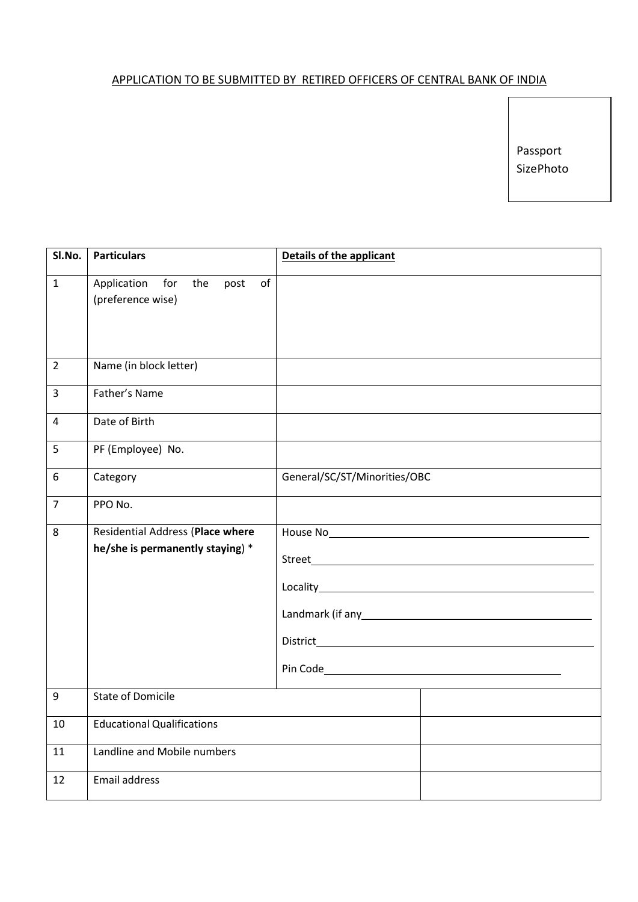# APPLICATION TO BE SUBMITTED BY RETIRED OFFICERS OF CENTRAL BANK OF INDIA

Passport SizePhoto

| SI.No.         | <b>Particulars</b>                | <b>Details of the applicant</b>                                                                                      |
|----------------|-----------------------------------|----------------------------------------------------------------------------------------------------------------------|
| $\mathbf{1}$   | Application for the<br>post<br>of |                                                                                                                      |
|                | (preference wise)                 |                                                                                                                      |
|                |                                   |                                                                                                                      |
|                |                                   |                                                                                                                      |
|                |                                   |                                                                                                                      |
| $\overline{2}$ | Name (in block letter)            |                                                                                                                      |
| 3              | Father's Name                     |                                                                                                                      |
| $\overline{4}$ | Date of Birth                     |                                                                                                                      |
| 5              | PF (Employee) No.                 |                                                                                                                      |
| 6              | Category                          | General/SC/ST/Minorities/OBC                                                                                         |
| $\overline{7}$ | PPO No.                           |                                                                                                                      |
| 8              | Residential Address (Place where  |                                                                                                                      |
|                | he/she is permanently staying) *  |                                                                                                                      |
|                |                                   |                                                                                                                      |
|                |                                   | Locality <b>Example 2018</b> 2021 2022 2023 2024 2022 2022 2023 2024 2022 2023 2024 2022 2023 2024 2022 2023 2024 20 |
|                |                                   |                                                                                                                      |
|                |                                   | Landmark (if any service and all and the state of any service and all and the state of the state of the state o      |
|                |                                   |                                                                                                                      |
|                |                                   |                                                                                                                      |
|                |                                   |                                                                                                                      |
| 9              | <b>State of Domicile</b>          |                                                                                                                      |
| 10             | <b>Educational Qualifications</b> |                                                                                                                      |
| 11             | Landline and Mobile numbers       |                                                                                                                      |
| 12             | <b>Email address</b>              |                                                                                                                      |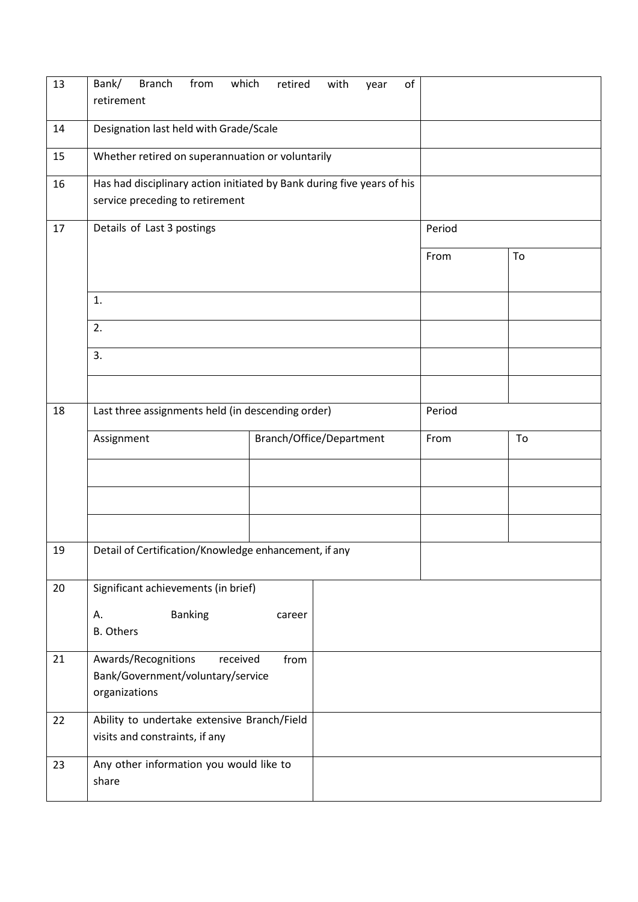| 13 | <b>Branch</b><br>from<br>which<br>Bank/<br>retirement                                                     | retired                  | with | of<br>year |        |    |
|----|-----------------------------------------------------------------------------------------------------------|--------------------------|------|------------|--------|----|
| 14 | Designation last held with Grade/Scale                                                                    |                          |      |            |        |    |
| 15 | Whether retired on superannuation or voluntarily                                                          |                          |      |            |        |    |
| 16 | Has had disciplinary action initiated by Bank during five years of his<br>service preceding to retirement |                          |      |            |        |    |
| 17 | Details of Last 3 postings                                                                                |                          |      |            | Period |    |
|    |                                                                                                           |                          |      |            | From   | To |
|    | 1.                                                                                                        |                          |      |            |        |    |
|    | 2.                                                                                                        |                          |      |            |        |    |
|    | 3.                                                                                                        |                          |      |            |        |    |
|    |                                                                                                           |                          |      |            |        |    |
| 18 | Last three assignments held (in descending order)                                                         |                          |      |            | Period |    |
|    | Assignment                                                                                                | Branch/Office/Department |      |            | From   | To |
|    |                                                                                                           |                          |      |            |        |    |
|    |                                                                                                           |                          |      |            |        |    |
|    |                                                                                                           |                          |      |            |        |    |
| 19 | Detail of Certification/Knowledge enhancement, if any                                                     |                          |      |            |        |    |
| 20 | Significant achievements (in brief)                                                                       |                          |      |            |        |    |
|    | <b>Banking</b><br>А.<br><b>B.</b> Others                                                                  | career                   |      |            |        |    |
| 21 | Awards/Recognitions<br>received<br>from<br>Bank/Government/voluntary/service<br>organizations             |                          |      |            |        |    |
| 22 | Ability to undertake extensive Branch/Field<br>visits and constraints, if any                             |                          |      |            |        |    |
| 23 | Any other information you would like to<br>share                                                          |                          |      |            |        |    |